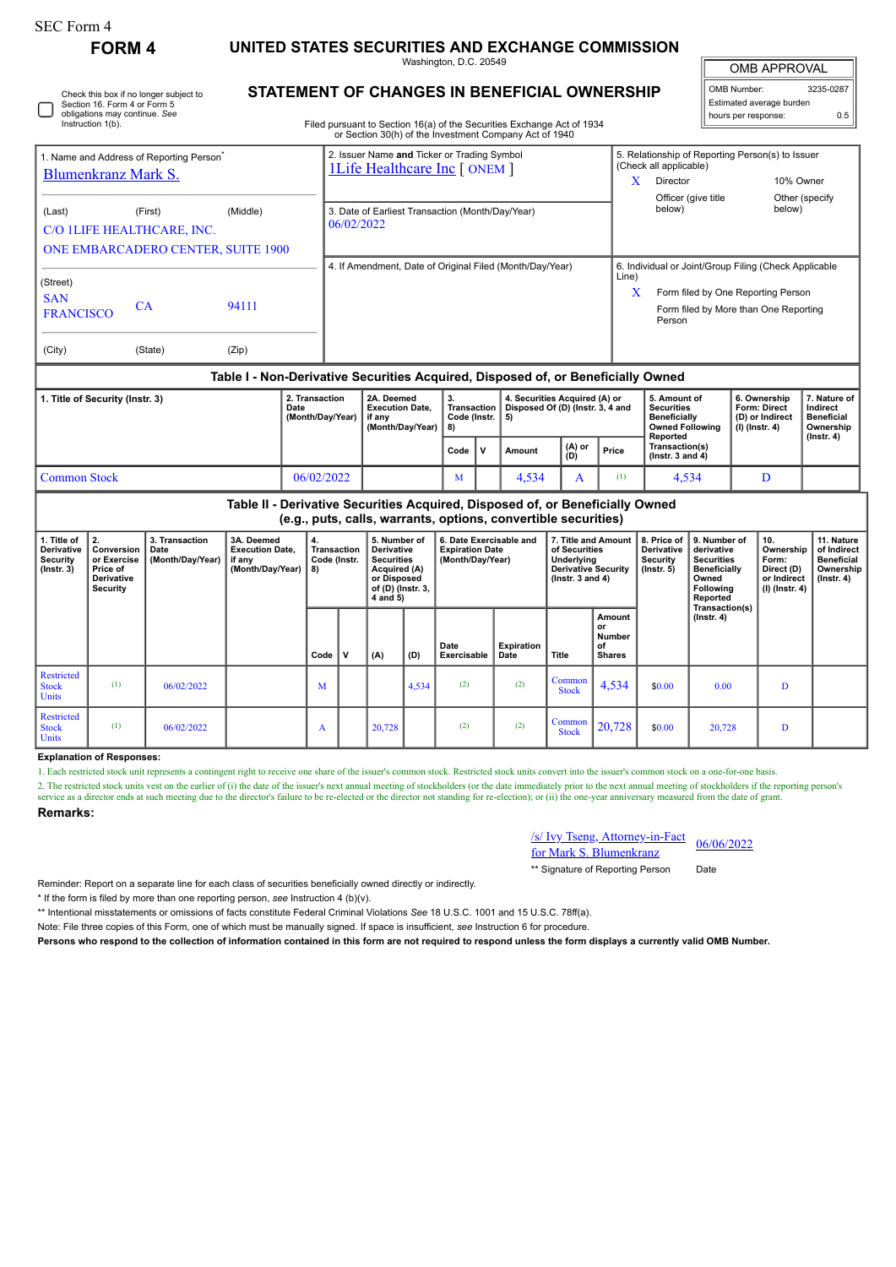| SEC Form 4    |                                                  |
|---------------|--------------------------------------------------|
| <b>FORM 4</b> | UNITED STATES SECURITIES AND EXCHANGE COMMISSION |

Washington, D.C. 20549

OMB APPROVAL

| OMB Number:<br>3235-0287 |     |  |  |  |  |  |  |  |
|--------------------------|-----|--|--|--|--|--|--|--|
| Estimated average burden |     |  |  |  |  |  |  |  |
| hours per response:      | 0.5 |  |  |  |  |  |  |  |

| Check this box if no longer subject to | <b>STATEMENT OF CHANGES IN BENEFICIAL OWNERSHIP</b>                    |
|----------------------------------------|------------------------------------------------------------------------|
| Section 16. Form 4 or Form 5           |                                                                        |
| obligations may continue. See          |                                                                        |
| Instruction 1(b).                      | Filed pursuant to Section 16(a) of the Securities Exchange Act of 1934 |

Filed pursuant to Section 16(a) of the Securities Exchange Act of 1934 or Section 30(h) of the Investment Company Act of 1940

|                                           |                                                      |          | or Section 30(11) or the investment Company Act or 1940                             |                                                                |                                                                            |                |  |  |  |  |
|-------------------------------------------|------------------------------------------------------|----------|-------------------------------------------------------------------------------------|----------------------------------------------------------------|----------------------------------------------------------------------------|----------------|--|--|--|--|
|                                           | 1. Name and Address of Reporting Person <sup>®</sup> |          | 2. Issuer Name and Ticker or Trading Symbol<br><b>1Life Healthcare Inc [ ONEM ]</b> |                                                                | 5. Relationship of Reporting Person(s) to Issuer<br>(Check all applicable) |                |  |  |  |  |
| Blumenkranz Mark S.                       |                                                      |          |                                                                                     | x                                                              | Director                                                                   | 10% Owner      |  |  |  |  |
|                                           |                                                      |          |                                                                                     |                                                                | Officer (give title                                                        | Other (specify |  |  |  |  |
| (Last)                                    | (First)                                              | (Middle) | 3. Date of Earliest Transaction (Month/Day/Year)                                    |                                                                | below)                                                                     | below)         |  |  |  |  |
|                                           | C/O 1LIFE HEALTHCARE, INC.                           |          | 06/02/2022                                                                          |                                                                |                                                                            |                |  |  |  |  |
| <b>ONE EMBARCADERO CENTER, SUITE 1900</b> |                                                      |          |                                                                                     |                                                                |                                                                            |                |  |  |  |  |
|                                           |                                                      |          | 4. If Amendment, Date of Original Filed (Month/Day/Year)                            | 6. Individual or Joint/Group Filing (Check Applicable<br>Line) |                                                                            |                |  |  |  |  |
| (Street)<br><b>SAN</b>                    |                                                      |          |                                                                                     | X                                                              | Form filed by One Reporting Person                                         |                |  |  |  |  |
| <b>FRANCISCO</b>                          | CA                                                   | 94111    |                                                                                     |                                                                | Form filed by More than One Reporting<br>Person                            |                |  |  |  |  |
| (City)                                    | (State)                                              | (Zip)    |                                                                                     |                                                                |                                                                            |                |  |  |  |  |

## **Table I - Non-Derivative Securities Acquired, Disposed of, or Beneficially Owned**

| 1. Title of Security (Instr. 3) | 2. Transaction<br>Date<br>(Month/Dav/Year) | 2A. Deemed<br><b>Execution Date.</b><br>if anv<br>(Month/Dav/Year)   8) | -3.<br><b>Transaction</b><br>∣ Code (Instr. ∣ 5) |  | 4. Securities Acquired (A) or<br>Disposed Of (D) (Instr. 3, 4 and    |  |                                          | 5. Amount of<br><b>Securities</b><br><b>Beneficially</b><br><b>Owned Following</b><br>Reported | 6. Ownership<br>Form: Direct<br>(D) or Indirect<br>(I) (Instr. 4) | '. Nature of<br>Indirect<br><b>Beneficial</b><br>Ownership<br>(Instr. 4) |
|---------------------------------|--------------------------------------------|-------------------------------------------------------------------------|--------------------------------------------------|--|----------------------------------------------------------------------|--|------------------------------------------|------------------------------------------------------------------------------------------------|-------------------------------------------------------------------|--------------------------------------------------------------------------|
|                                 |                                            |                                                                         | Code                                             |  | $\begin{pmatrix} (A) & or \\ (D) & \end{pmatrix}$<br>Price<br>Amount |  | Transaction(s)<br>$($ lnstr. 3 and 4 $)$ |                                                                                                |                                                                   |                                                                          |
| <b>Common Stock</b>             | 06/02/2022                                 |                                                                         | M                                                |  | 4.534                                                                |  |                                          | 4.534                                                                                          | D                                                                 |                                                                          |

| Table II - Derivative Securities Acquired, Disposed of, or Beneficially Owned<br>(e.g., puts, calls, warrants, options, convertible securities) |                                                                              |                                            |                                                                    |                                         |   |                                                                                                                 |       |                                                                       |                    |                                                                                                            |                                               |                                                           |                                                                                                          |                                                                            |                                                                                 |
|-------------------------------------------------------------------------------------------------------------------------------------------------|------------------------------------------------------------------------------|--------------------------------------------|--------------------------------------------------------------------|-----------------------------------------|---|-----------------------------------------------------------------------------------------------------------------|-------|-----------------------------------------------------------------------|--------------------|------------------------------------------------------------------------------------------------------------|-----------------------------------------------|-----------------------------------------------------------|----------------------------------------------------------------------------------------------------------|----------------------------------------------------------------------------|---------------------------------------------------------------------------------|
| 1. Title of<br><b>Derivative</b><br>Security<br>$($ Instr. 3 $)$                                                                                | 2.<br>Conversion<br>or Exercise<br>Price of<br>Derivative<br><b>Security</b> | 3. Transaction<br>Date<br>(Month/Day/Year) | 3A. Deemed<br><b>Execution Date.</b><br>if any<br>(Month/Day/Year) | 4.<br>Transaction<br>Code (Instr.<br>8) |   | 5. Number of<br>Derivative<br><b>Securities</b><br>Acquired (A)<br>or Disposed<br>of (D) (Instr. 3,<br>4 and 5) |       | 6. Date Exercisable and<br><b>Expiration Date</b><br>(Month/Day/Year) |                    | 7. Title and Amount<br>of Securities<br>Underlying<br><b>Derivative Security</b><br>$($ Instr. 3 and 4 $)$ |                                               | 8. Price of<br>Derivative<br>Security<br>$($ lnstr. 5 $)$ | 9. Number of<br>derivative<br><b>Securities</b><br><b>Beneficially</b><br>Owned<br>Following<br>Reported | 10.<br>Ownership<br>Form:<br>Direct (D)<br>or Indirect<br>$(I)$ (Instr. 4) | 11. Nature<br>of Indirect<br><b>Beneficial</b><br>Ownership<br>$($ Instr. 4 $)$ |
|                                                                                                                                                 |                                                                              |                                            |                                                                    | Code                                    | V | (A)                                                                                                             | (D)   | Date<br>Exercisable                                                   | Expiration<br>Date | Title                                                                                                      | Amount<br>or<br>Number<br>of<br><b>Shares</b> |                                                           | Transaction(s)<br>$($ Instr. 4 $)$                                                                       |                                                                            |                                                                                 |
| Restricted<br><b>Stock</b><br><b>Units</b>                                                                                                      | (1)                                                                          | 06/02/2022                                 |                                                                    | M                                       |   |                                                                                                                 | 4,534 | (2)                                                                   | (2)                | Common<br><b>Stock</b>                                                                                     | 4,534                                         | \$0.00                                                    | 0.00                                                                                                     | D                                                                          |                                                                                 |
| Restricted<br><b>Stock</b><br><b>Units</b>                                                                                                      | (1)                                                                          | 06/02/2022                                 |                                                                    | A                                       |   | 20,728                                                                                                          |       | (2)                                                                   | (2)                | Common<br><b>Stock</b>                                                                                     | 20,728                                        | \$0.00                                                    | 20,728                                                                                                   | D                                                                          |                                                                                 |

## **Explanation of Responses:**

1. Each restricted stock unit represents a contingent right to receive one share of the issuer's common stock. Restricted stock units convert into the issuer's common stock on a one-for-one basis.

2. The restricted stock units vest on the earlier of (i) the date of the issuer's next annual meeting of stockholders (or the date immediately prior to the next annual meeting of stockholders if the reporting person's service as a director ends at such meeting due to the director's failure to be re-elected or the director not standing for re-election); or (ii) the one-year anniversary measured from the date of grant

## **Remarks:**

∩

/s/ Ivy Tseng, Attorney-in-Fact for Mark S. Blumenkranz 06/06/2022

\*\* Signature of Reporting Person Date

Reminder: Report on a separate line for each class of securities beneficially owned directly or indirectly.

\* If the form is filed by more than one reporting person, *see* Instruction 4 (b)(v).

\*\* Intentional misstatements or omissions of facts constitute Federal Criminal Violations *See* 18 U.S.C. 1001 and 15 U.S.C. 78ff(a).

Note: File three copies of this Form, one of which must be manually signed. If space is insufficient, *see* Instruction 6 for procedure.

**Persons who respond to the collection of information contained in this form are not required to respond unless the form displays a currently valid OMB Number.**